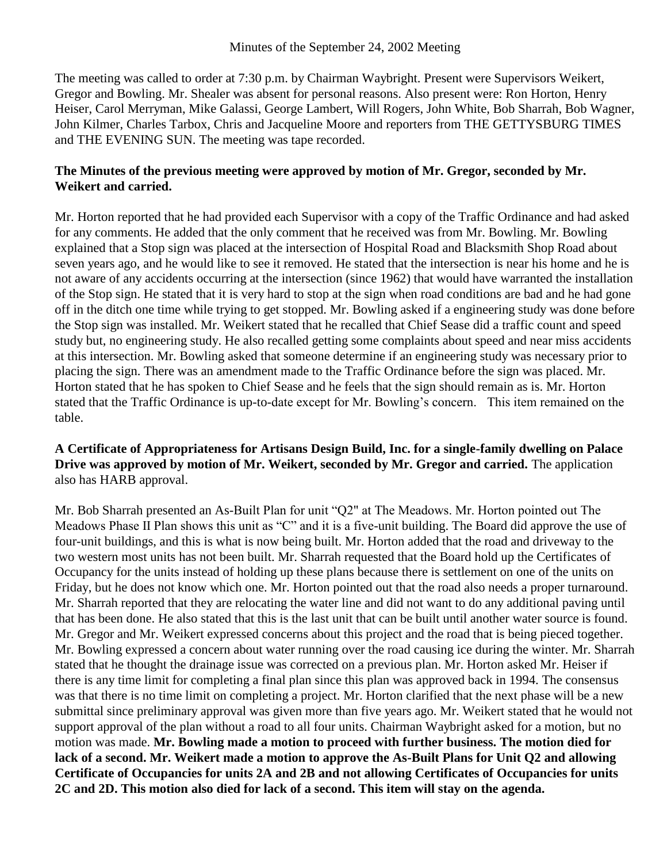The meeting was called to order at 7:30 p.m. by Chairman Waybright. Present were Supervisors Weikert, Gregor and Bowling. Mr. Shealer was absent for personal reasons. Also present were: Ron Horton, Henry Heiser, Carol Merryman, Mike Galassi, George Lambert, Will Rogers, John White, Bob Sharrah, Bob Wagner, John Kilmer, Charles Tarbox, Chris and Jacqueline Moore and reporters from THE GETTYSBURG TIMES and THE EVENING SUN. The meeting was tape recorded.

## **The Minutes of the previous meeting were approved by motion of Mr. Gregor, seconded by Mr. Weikert and carried.**

Mr. Horton reported that he had provided each Supervisor with a copy of the Traffic Ordinance and had asked for any comments. He added that the only comment that he received was from Mr. Bowling. Mr. Bowling explained that a Stop sign was placed at the intersection of Hospital Road and Blacksmith Shop Road about seven years ago, and he would like to see it removed. He stated that the intersection is near his home and he is not aware of any accidents occurring at the intersection (since 1962) that would have warranted the installation of the Stop sign. He stated that it is very hard to stop at the sign when road conditions are bad and he had gone off in the ditch one time while trying to get stopped. Mr. Bowling asked if a engineering study was done before the Stop sign was installed. Mr. Weikert stated that he recalled that Chief Sease did a traffic count and speed study but, no engineering study. He also recalled getting some complaints about speed and near miss accidents at this intersection. Mr. Bowling asked that someone determine if an engineering study was necessary prior to placing the sign. There was an amendment made to the Traffic Ordinance before the sign was placed. Mr. Horton stated that he has spoken to Chief Sease and he feels that the sign should remain as is. Mr. Horton stated that the Traffic Ordinance is up-to-date except for Mr. Bowling's concern. This item remained on the table.

## **A Certificate of Appropriateness for Artisans Design Build, Inc. for a single-family dwelling on Palace Drive was approved by motion of Mr. Weikert, seconded by Mr. Gregor and carried.** The application also has HARB approval.

Mr. Bob Sharrah presented an As-Built Plan for unit "Q2" at The Meadows. Mr. Horton pointed out The Meadows Phase II Plan shows this unit as "C" and it is a five-unit building. The Board did approve the use of four-unit buildings, and this is what is now being built. Mr. Horton added that the road and driveway to the two western most units has not been built. Mr. Sharrah requested that the Board hold up the Certificates of Occupancy for the units instead of holding up these plans because there is settlement on one of the units on Friday, but he does not know which one. Mr. Horton pointed out that the road also needs a proper turnaround. Mr. Sharrah reported that they are relocating the water line and did not want to do any additional paving until that has been done. He also stated that this is the last unit that can be built until another water source is found. Mr. Gregor and Mr. Weikert expressed concerns about this project and the road that is being pieced together. Mr. Bowling expressed a concern about water running over the road causing ice during the winter. Mr. Sharrah stated that he thought the drainage issue was corrected on a previous plan. Mr. Horton asked Mr. Heiser if there is any time limit for completing a final plan since this plan was approved back in 1994. The consensus was that there is no time limit on completing a project. Mr. Horton clarified that the next phase will be a new submittal since preliminary approval was given more than five years ago. Mr. Weikert stated that he would not support approval of the plan without a road to all four units. Chairman Waybright asked for a motion, but no motion was made. **Mr. Bowling made a motion to proceed with further business. The motion died for lack of a second. Mr. Weikert made a motion to approve the As-Built Plans for Unit Q2 and allowing Certificate of Occupancies for units 2A and 2B and not allowing Certificates of Occupancies for units 2C and 2D. This motion also died for lack of a second. This item will stay on the agenda.**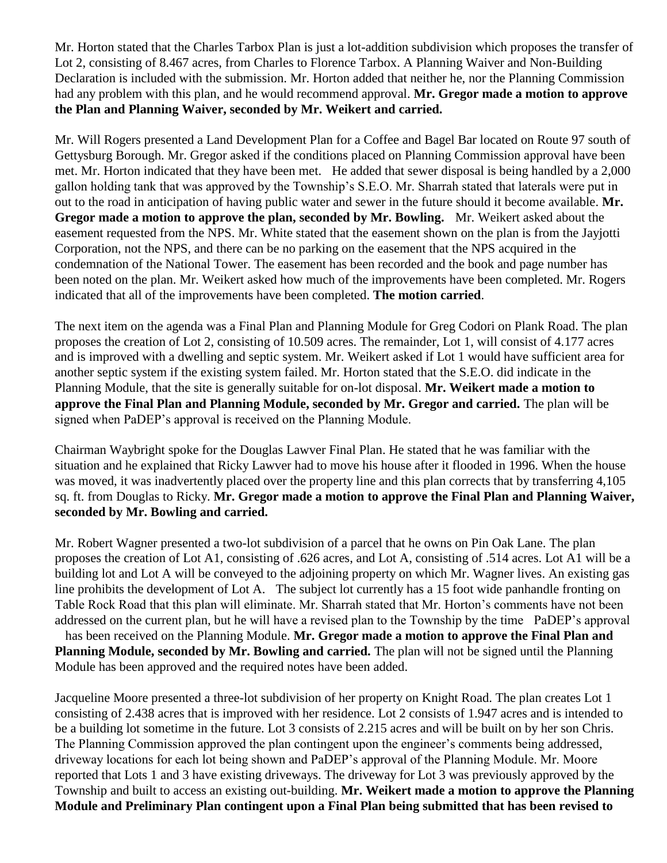Mr. Horton stated that the Charles Tarbox Plan is just a lot-addition subdivision which proposes the transfer of Lot 2, consisting of 8.467 acres, from Charles to Florence Tarbox. A Planning Waiver and Non-Building Declaration is included with the submission. Mr. Horton added that neither he, nor the Planning Commission had any problem with this plan, and he would recommend approval. **Mr. Gregor made a motion to approve the Plan and Planning Waiver, seconded by Mr. Weikert and carried.**

Mr. Will Rogers presented a Land Development Plan for a Coffee and Bagel Bar located on Route 97 south of Gettysburg Borough. Mr. Gregor asked if the conditions placed on Planning Commission approval have been met. Mr. Horton indicated that they have been met. He added that sewer disposal is being handled by a 2,000 gallon holding tank that was approved by the Township's S.E.O. Mr. Sharrah stated that laterals were put in out to the road in anticipation of having public water and sewer in the future should it become available. **Mr. Gregor made a motion to approve the plan, seconded by Mr. Bowling.** Mr. Weikert asked about the easement requested from the NPS. Mr. White stated that the easement shown on the plan is from the Jayjotti Corporation, not the NPS, and there can be no parking on the easement that the NPS acquired in the condemnation of the National Tower. The easement has been recorded and the book and page number has been noted on the plan. Mr. Weikert asked how much of the improvements have been completed. Mr. Rogers indicated that all of the improvements have been completed. **The motion carried**.

The next item on the agenda was a Final Plan and Planning Module for Greg Codori on Plank Road. The plan proposes the creation of Lot 2, consisting of 10.509 acres. The remainder, Lot 1, will consist of 4.177 acres and is improved with a dwelling and septic system. Mr. Weikert asked if Lot 1 would have sufficient area for another septic system if the existing system failed. Mr. Horton stated that the S.E.O. did indicate in the Planning Module, that the site is generally suitable for on-lot disposal. **Mr. Weikert made a motion to approve the Final Plan and Planning Module, seconded by Mr. Gregor and carried.** The plan will be signed when PaDEP's approval is received on the Planning Module.

Chairman Waybright spoke for the Douglas Lawver Final Plan. He stated that he was familiar with the situation and he explained that Ricky Lawver had to move his house after it flooded in 1996. When the house was moved, it was inadvertently placed over the property line and this plan corrects that by transferring 4,105 sq. ft. from Douglas to Ricky. **Mr. Gregor made a motion to approve the Final Plan and Planning Waiver, seconded by Mr. Bowling and carried.**

Mr. Robert Wagner presented a two-lot subdivision of a parcel that he owns on Pin Oak Lane. The plan proposes the creation of Lot A1, consisting of .626 acres, and Lot A, consisting of .514 acres. Lot A1 will be a building lot and Lot A will be conveyed to the adjoining property on which Mr. Wagner lives. An existing gas line prohibits the development of Lot A. The subject lot currently has a 15 foot wide panhandle fronting on Table Rock Road that this plan will eliminate. Mr. Sharrah stated that Mr. Horton's comments have not been addressed on the current plan, but he will have a revised plan to the Township by the time PaDEP's approval has been received on the Planning Module. **Mr. Gregor made a motion to approve the Final Plan and Planning Module, seconded by Mr. Bowling and carried.** The plan will not be signed until the Planning Module has been approved and the required notes have been added.

Jacqueline Moore presented a three-lot subdivision of her property on Knight Road. The plan creates Lot 1 consisting of 2.438 acres that is improved with her residence. Lot 2 consists of 1.947 acres and is intended to be a building lot sometime in the future. Lot 3 consists of 2.215 acres and will be built on by her son Chris. The Planning Commission approved the plan contingent upon the engineer's comments being addressed, driveway locations for each lot being shown and PaDEP's approval of the Planning Module. Mr. Moore reported that Lots 1 and 3 have existing driveways. The driveway for Lot 3 was previously approved by the Township and built to access an existing out-building. **Mr. Weikert made a motion to approve the Planning Module and Preliminary Plan contingent upon a Final Plan being submitted that has been revised to**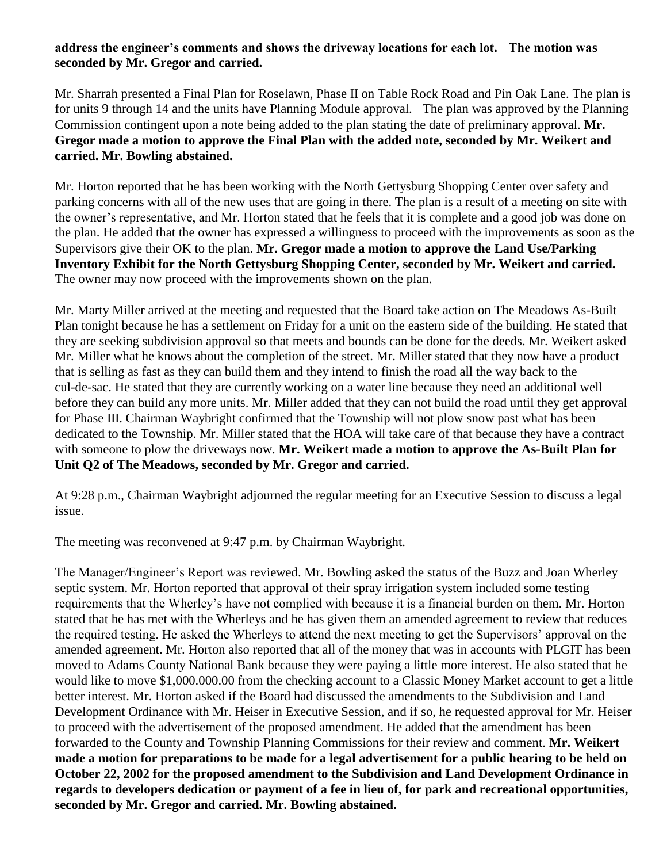## **address the engineer's comments and shows the driveway locations for each lot. The motion was seconded by Mr. Gregor and carried.**

Mr. Sharrah presented a Final Plan for Roselawn, Phase II on Table Rock Road and Pin Oak Lane. The plan is for units 9 through 14 and the units have Planning Module approval. The plan was approved by the Planning Commission contingent upon a note being added to the plan stating the date of preliminary approval. **Mr. Gregor made a motion to approve the Final Plan with the added note, seconded by Mr. Weikert and carried. Mr. Bowling abstained.**

Mr. Horton reported that he has been working with the North Gettysburg Shopping Center over safety and parking concerns with all of the new uses that are going in there. The plan is a result of a meeting on site with the owner's representative, and Mr. Horton stated that he feels that it is complete and a good job was done on the plan. He added that the owner has expressed a willingness to proceed with the improvements as soon as the Supervisors give their OK to the plan. **Mr. Gregor made a motion to approve the Land Use/Parking Inventory Exhibit for the North Gettysburg Shopping Center, seconded by Mr. Weikert and carried.**  The owner may now proceed with the improvements shown on the plan.

Mr. Marty Miller arrived at the meeting and requested that the Board take action on The Meadows As-Built Plan tonight because he has a settlement on Friday for a unit on the eastern side of the building. He stated that they are seeking subdivision approval so that meets and bounds can be done for the deeds. Mr. Weikert asked Mr. Miller what he knows about the completion of the street. Mr. Miller stated that they now have a product that is selling as fast as they can build them and they intend to finish the road all the way back to the cul-de-sac. He stated that they are currently working on a water line because they need an additional well before they can build any more units. Mr. Miller added that they can not build the road until they get approval for Phase III. Chairman Waybright confirmed that the Township will not plow snow past what has been dedicated to the Township. Mr. Miller stated that the HOA will take care of that because they have a contract with someone to plow the driveways now. **Mr. Weikert made a motion to approve the As-Built Plan for Unit Q2 of The Meadows, seconded by Mr. Gregor and carried.**

At 9:28 p.m., Chairman Waybright adjourned the regular meeting for an Executive Session to discuss a legal issue.

The meeting was reconvened at 9:47 p.m. by Chairman Waybright.

The Manager/Engineer's Report was reviewed. Mr. Bowling asked the status of the Buzz and Joan Wherley septic system. Mr. Horton reported that approval of their spray irrigation system included some testing requirements that the Wherley's have not complied with because it is a financial burden on them. Mr. Horton stated that he has met with the Wherleys and he has given them an amended agreement to review that reduces the required testing. He asked the Wherleys to attend the next meeting to get the Supervisors' approval on the amended agreement. Mr. Horton also reported that all of the money that was in accounts with PLGIT has been moved to Adams County National Bank because they were paying a little more interest. He also stated that he would like to move \$1,000.000.00 from the checking account to a Classic Money Market account to get a little better interest. Mr. Horton asked if the Board had discussed the amendments to the Subdivision and Land Development Ordinance with Mr. Heiser in Executive Session, and if so, he requested approval for Mr. Heiser to proceed with the advertisement of the proposed amendment. He added that the amendment has been forwarded to the County and Township Planning Commissions for their review and comment. **Mr. Weikert made a motion for preparations to be made for a legal advertisement for a public hearing to be held on October 22, 2002 for the proposed amendment to the Subdivision and Land Development Ordinance in regards to developers dedication or payment of a fee in lieu of, for park and recreational opportunities, seconded by Mr. Gregor and carried. Mr. Bowling abstained.**